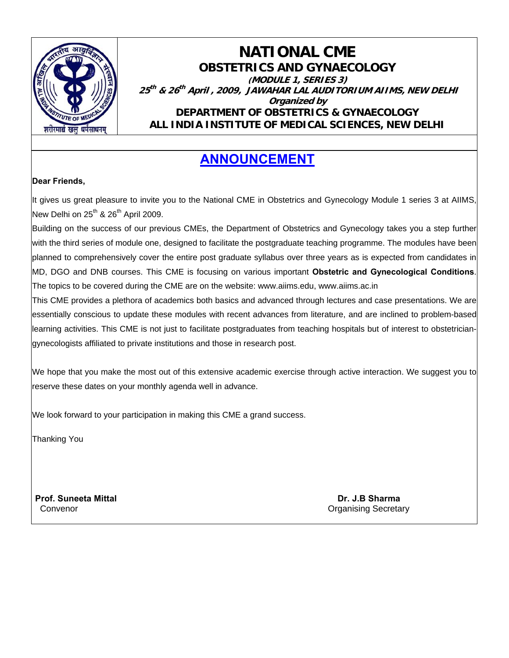

### **NATIONAL CME OBSTETRICS AND GYNAECOLOGY (MODULE 1, SERIES 3) <sup>25</sup>th & 26th April , 2009, JAWAHAR LAL AUDITORIUM AIIMS, NEW DELHI Organized by DEPARTMENT OF OBSTETRICS & GYNAECOLOGY ALL INDIA INSTITUTE OF MEDICAL SCIENCES, NEW DELHI**

## **ANNOUNCEMENT**

#### **Dear Friends,**

It gives us great pleasure to invite you to the National CME in Obstetrics and Gynecology Module 1 series 3 at AIIMS, New Delhi on  $25^{th}$  &  $26^{th}$  April 2009.

Building on the success of our previous CMEs, the Department of Obstetrics and Gynecology takes you a step further with the third series of module one, designed to facilitate the postgraduate teaching programme. The modules have been planned to comprehensively cover the entire post graduate syllabus over three years as is expected from candidates in MD, DGO and DNB courses. This CME is focusing on various important **Obstetric and Gynecological Conditions**. The topics to be covered during the CME are on the website: www.aiims.edu, www.aiims.ac.in

This CME provides a plethora of academics both basics and advanced through lectures and case presentations. We are essentially conscious to update these modules with recent advances from literature, and are inclined to problem-based learning activities. This CME is not just to facilitate postgraduates from teaching hospitals but of interest to obstetriciangynecologists affiliated to private institutions and those in research post.

We hope that you make the most out of this extensive academic exercise through active interaction. We suggest you to reserve these dates on your monthly agenda well in advance.

We look forward to your participation in making this CME a grand success.

Thanking You

**Prof. Suneeta Mittal Dr. J.B Sharma** 

**Convenor** Convenor Convention Convention Convention Convention Convention Convention Convention Convention Convention Convention Convention Convention Convention Convention Convention Convention Convention Convention Conv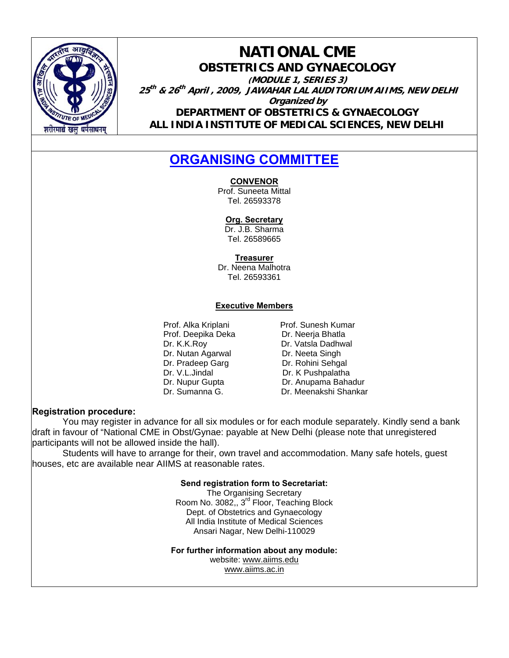

### **NATIONAL CME OBSTETRICS AND GYNAECOLOGY (MODULE 1, SERIES 3) <sup>25</sup>th & 26th April , 2009, JAWAHAR LAL AUDITORIUM AIIMS, NEW DELHI Organized by DEPARTMENT OF OBSTETRICS & GYNAECOLOGY ALL INDIA INSTITUTE OF MEDICAL SCIENCES, NEW DELHI**

## **ORGANISING COMMITTEE**

**CONVENOR**

Prof. Suneeta Mittal Tel. 26593378

**Org. Secretary**

Dr. J.B. Sharma Tel. 26589665

**Treasurer**

Dr. Neena Malhotra Tel. 26593361

#### **Executive Members**

Prof. Deepika Deka Dr. K.K.Roy Dr. Vatsla Dadhwal Dr. Nutan Agarwal Dr. Neeta Singh Dr. Pradeep Garg Dr. Rohini Sehgal Dr. V.L.Jindal Dr. K Pushpalatha

Prof. Alka Kriplani **Prof. Sunesh Kumar**<br>Prof. Deepika Deka **Prof. Neeria Bhatla** Dr. Nupur Gupta **Dr. Anupama Bahadur** Dr. Sumanna G. Dr. Meenakshi Shankar

#### **Registration procedure:**

 You may register in advance for all six modules or for each module separately. Kindly send a bank draft in favour of "National CME in Obst/Gynae: payable at New Delhi (please note that unregistered participants will not be allowed inside the hall).

 Students will have to arrange for their, own travel and accommodation. Many safe hotels, guest houses, etc are available near AIIMS at reasonable rates.

#### **Send registration form to Secretariat:**

The Organising Secretary Room No. 3082,, 3<sup>rd</sup> Floor, Teaching Block Dept. of Obstetrics and Gynaecology All India Institute of Medical Sciences Ansari Nagar, New Delhi-110029

**For further information about any module:**

website: www.aiims.edu www.aiims.ac.in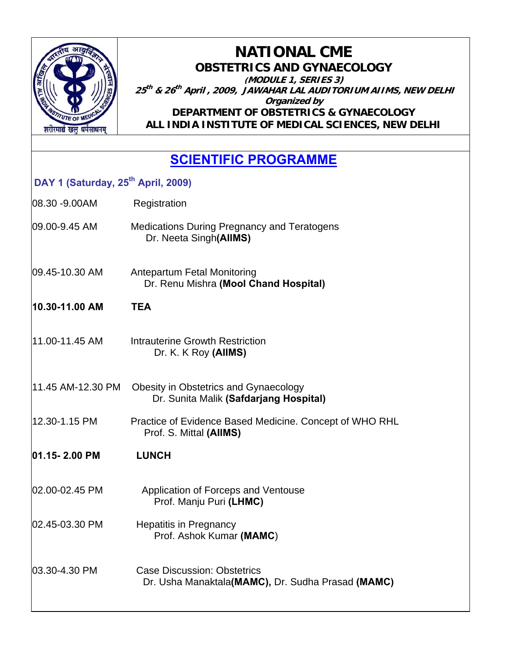

**NATIONAL CME OBSTETRICS AND GYNAECOLOGY (MODULE 1, SERIES 3) <sup>25</sup>th & 26th April , 2009, JAWAHAR LAL AUDITORIUM AIIMS, NEW DELHI Organized by DEPARTMENT OF OBSTETRICS & GYNAECOLOGY ALL INDIA INSTITUTE OF MEDICAL SCIENCES, NEW DELHI**

## **SCIENTIFIC PROGRAMME**

### **DAY 1 (Saturday, 25th April, 2009)**

- 08.30 -9.00AM Registration
- 09.00-9.45 AM Medications During Pregnancy and Teratogens Dr. Neeta Singh**(AIIMS)**
- 09.45-10.30 AM Antepartum Fetal Monitoring Dr. Renu Mishra **(Mool Chand Hospital)**
- **10.30-11.00 AM TEA**
- 11.00-11.45 AM Intrauterine Growth Restriction Dr. K. K Roy **(AIIMS)**
- 11.45 AM-12.30 PM Obesity in Obstetrics and Gynaecology Dr. Sunita Malik **(Safdarjang Hospital)**
- 12.30-1.15 PMPractice of Evidence Based Medicine. Concept of WHO RHL Prof. S. Mittal **(AIIMS)**
- **01.15- 2.00 PM LUNCH**
- 02.00-02.45 PM Application of Forceps and Ventouse Prof. Manju Puri **(LHMC)**
- 02.45-03.30 PM Hepatitis in Pregnancy Prof. Ashok Kumar **(MAMC**)
- 03.30-4.30 PM Case Discussion: Obstetrics Dr. Usha Manaktala**(MAMC),** Dr. Sudha Prasad **(MAMC)**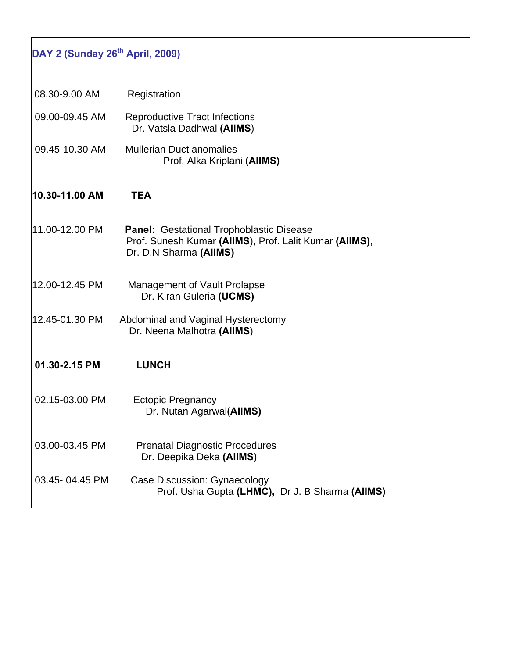| DAY 2 (Sunday 26 <sup>th</sup> April, 2009) |                                                                                                                                     |  |
|---------------------------------------------|-------------------------------------------------------------------------------------------------------------------------------------|--|
| 08.30-9.00 AM                               | Registration                                                                                                                        |  |
| 09.00-09.45 AM                              | <b>Reproductive Tract Infections</b><br>Dr. Vatsla Dadhwal (AIIMS)                                                                  |  |
| 09.45-10.30 AM                              | <b>Mullerian Duct anomalies</b><br>Prof. Alka Kriplani (AIIMS)                                                                      |  |
| 10.30-11.00 AM                              | <b>TEA</b>                                                                                                                          |  |
| 11.00-12.00 PM                              | <b>Panel: Gestational Trophoblastic Disease</b><br>Prof. Sunesh Kumar (AIIMS), Prof. Lalit Kumar (AIIMS),<br>Dr. D.N Sharma (AIIMS) |  |
| 12.00-12.45 PM                              | Management of Vault Prolapse<br>Dr. Kiran Guleria (UCMS)                                                                            |  |
| 12.45-01.30 PM                              | Abdominal and Vaginal Hysterectomy<br>Dr. Neena Malhotra (AIIMS)                                                                    |  |
| 01.30-2.15 PM                               | <b>LUNCH</b>                                                                                                                        |  |
| 02.15-03.00 PM                              | <b>Ectopic Pregnancy</b><br>Dr. Nutan Agarwal(AIIMS)                                                                                |  |
| 03.00-03.45 PM                              | <b>Prenatal Diagnostic Procedures</b><br>Dr. Deepika Deka (AIIMS)                                                                   |  |
| 03.45-04.45 PM                              | Case Discussion: Gynaecology<br>Prof. Usha Gupta (LHMC), Dr J. B Sharma (AIIMS)                                                     |  |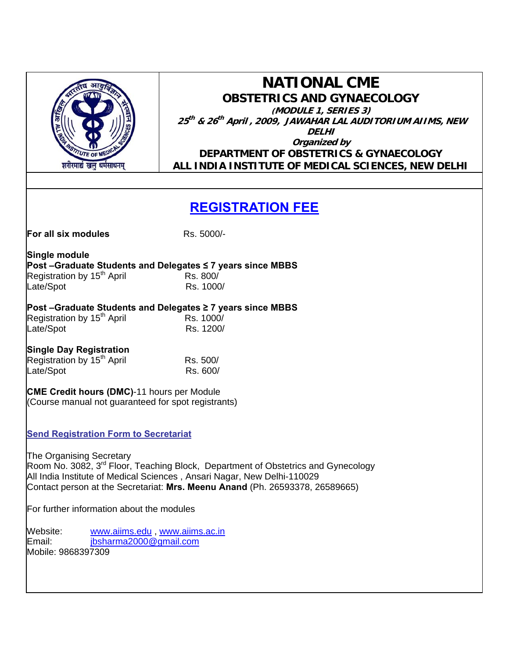